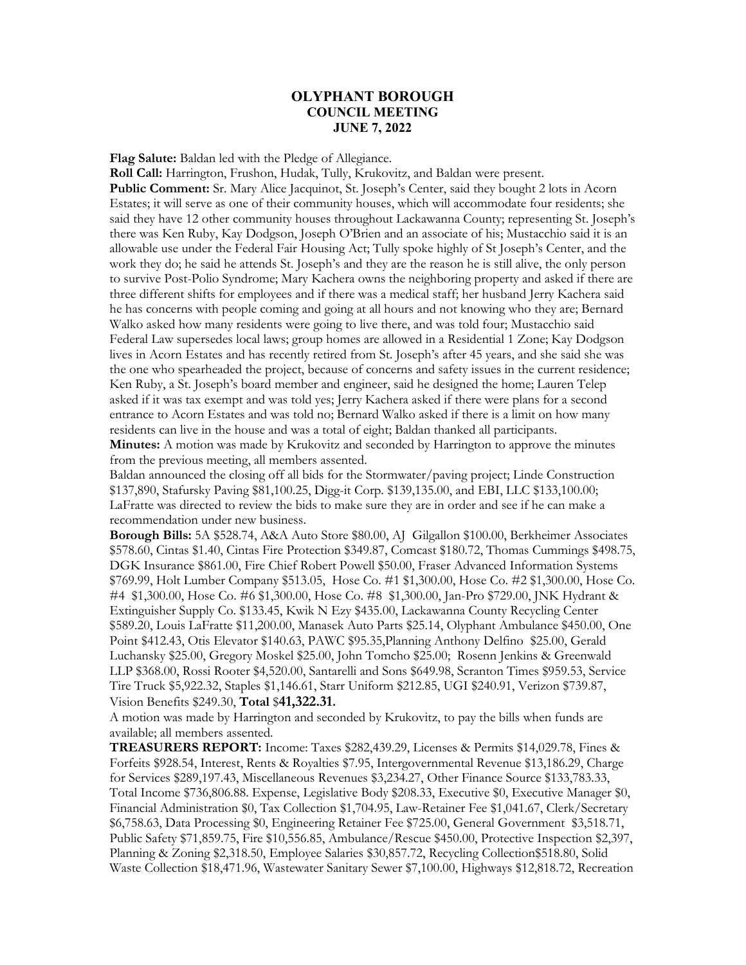## **OLYPHANT BOROUGH COUNCIL MEETING JUNE 7, 2022**

**Flag Salute:** Baldan led with the Pledge of Allegiance.

**Roll Call:** Harrington, Frushon, Hudak, Tully, Krukovitz, and Baldan were present. **Public Comment:** Sr. Mary Alice Jacquinot, St. Joseph's Center, said they bought 2 lots in Acorn Estates; it will serve as one of their community houses, which will accommodate four residents; she said they have 12 other community houses throughout Lackawanna County; representing St. Joseph's there was Ken Ruby, Kay Dodgson, Joseph O'Brien and an associate of his; Mustacchio said it is an allowable use under the Federal Fair Housing Act; Tully spoke highly of St Joseph's Center, and the work they do; he said he attends St. Joseph's and they are the reason he is still alive, the only person to survive Post-Polio Syndrome; Mary Kachera owns the neighboring property and asked if there are three different shifts for employees and if there was a medical staff; her husband Jerry Kachera said he has concerns with people coming and going at all hours and not knowing who they are; Bernard Walko asked how many residents were going to live there, and was told four; Mustacchio said Federal Law supersedes local laws; group homes are allowed in a Residential 1 Zone; Kay Dodgson lives in Acorn Estates and has recently retired from St. Joseph's after 45 years, and she said she was the one who spearheaded the project, because of concerns and safety issues in the current residence; Ken Ruby, a St. Joseph's board member and engineer, said he designed the home; Lauren Telep asked if it was tax exempt and was told yes; Jerry Kachera asked if there were plans for a second entrance to Acorn Estates and was told no; Bernard Walko asked if there is a limit on how many residents can live in the house and was a total of eight; Baldan thanked all participants. **Minutes:** A motion was made by Krukovitz and seconded by Harrington to approve the minutes from the previous meeting, all members assented.

Baldan announced the closing off all bids for the Stormwater/paving project; Linde Construction \$137,890, Stafursky Paving \$81,100.25, Digg-it Corp. \$139,135.00, and EBI, LLC \$133,100.00; LaFratte was directed to review the bids to make sure they are in order and see if he can make a recommendation under new business.

**Borough Bills:** 5A \$528.74, A&A Auto Store \$80.00, AJ Gilgallon \$100.00, Berkheimer Associates \$578.60, Cintas \$1.40, Cintas Fire Protection \$349.87, Comcast \$180.72, Thomas Cummings \$498.75, DGK Insurance \$861.00, Fire Chief Robert Powell \$50.00, Fraser Advanced Information Systems \$769.99, Holt Lumber Company \$513.05, Hose Co. #1 \$1,300.00, Hose Co. #2 \$1,300.00, Hose Co. #4 \$1,300.00, Hose Co. #6 \$1,300.00, Hose Co. #8 \$1,300.00, Jan-Pro \$729.00, JNK Hydrant & Extinguisher Supply Co. \$133.45, Kwik N Ezy \$435.00, Lackawanna County Recycling Center \$589.20, Louis LaFratte \$11,200.00, Manasek Auto Parts \$25.14, Olyphant Ambulance \$450.00, One Point \$412.43, Otis Elevator \$140.63, PAWC \$95.35,Planning Anthony Delfino \$25.00, Gerald Luchansky \$25.00, Gregory Moskel \$25.00, John Tomcho \$25.00; Rosenn Jenkins & Greenwald LLP \$368.00, Rossi Rooter \$4,520.00, Santarelli and Sons \$649.98, Scranton Times \$959.53, Service Tire Truck \$5,922.32, Staples \$1,146.61, Starr Uniform \$212.85, UGI \$240.91, Verizon \$739.87, Vision Benefits \$249.30, **Total** \$**41,322.31.**

A motion was made by Harrington and seconded by Krukovitz, to pay the bills when funds are available; all members assented.

**TREASURERS REPORT:** Income: Taxes \$282,439.29, Licenses & Permits \$14,029.78, Fines & Forfeits \$928.54, Interest, Rents & Royalties \$7.95, Intergovernmental Revenue \$13,186.29, Charge for Services \$289,197.43, Miscellaneous Revenues \$3,234.27, Other Finance Source \$133,783.33, Total Income \$736,806.88. Expense, Legislative Body \$208.33, Executive \$0, Executive Manager \$0, Financial Administration \$0, Tax Collection \$1,704.95, Law-Retainer Fee \$1,041.67, Clerk/Secretary \$6,758.63, Data Processing \$0, Engineering Retainer Fee \$725.00, General Government \$3,518.71, Public Safety \$71,859.75, Fire \$10,556.85, Ambulance/Rescue \$450.00, Protective Inspection \$2,397, Planning & Zoning \$2,318.50, Employee Salaries \$30,857.72, Recycling Collection\$518.80, Solid Waste Collection \$18,471.96, Wastewater Sanitary Sewer \$7,100.00, Highways \$12,818.72, Recreation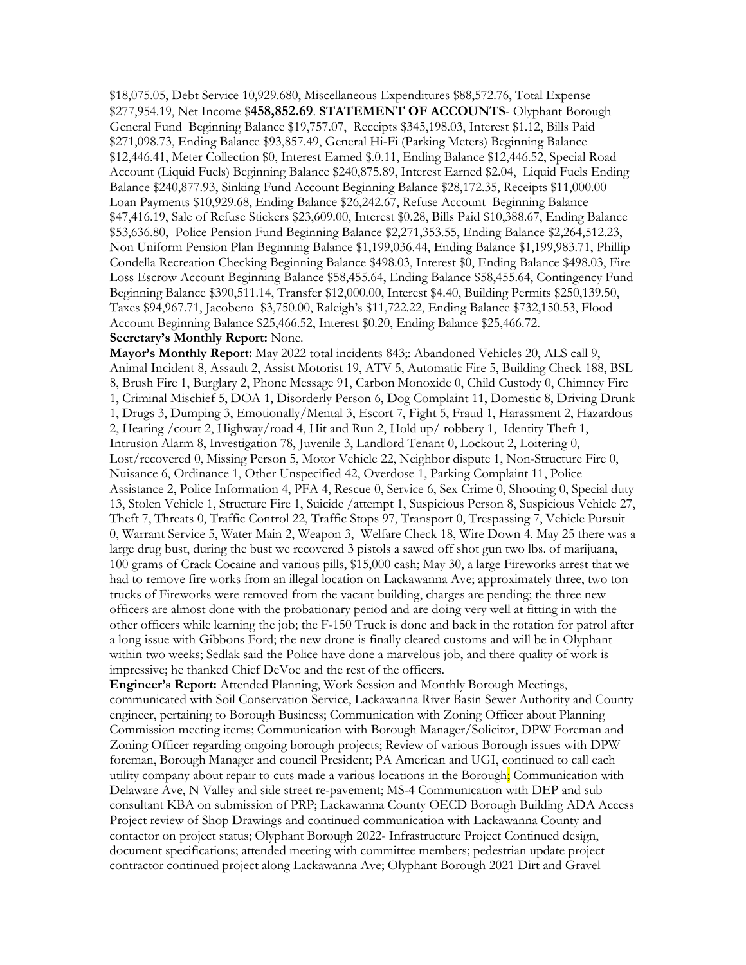\$18,075.05, Debt Service 10,929.680, Miscellaneous Expenditures \$88,572.76, Total Expense \$277,954.19, Net Income \$**458,852.69**. **STATEMENT OF ACCOUNTS**- Olyphant Borough General Fund Beginning Balance \$19,757.07, Receipts \$345,198.03, Interest \$1.12, Bills Paid \$271,098.73, Ending Balance \$93,857.49, General Hi-Fi (Parking Meters) Beginning Balance \$12,446.41, Meter Collection \$0, Interest Earned \$.0.11, Ending Balance \$12,446.52, Special Road Account (Liquid Fuels) Beginning Balance \$240,875.89, Interest Earned \$2.04, Liquid Fuels Ending Balance \$240,877.93, Sinking Fund Account Beginning Balance \$28,172.35, Receipts \$11,000.00 Loan Payments \$10,929.68, Ending Balance \$26,242.67, Refuse Account Beginning Balance \$47,416.19, Sale of Refuse Stickers \$23,609.00, Interest \$0.28, Bills Paid \$10,388.67, Ending Balance \$53,636.80, Police Pension Fund Beginning Balance \$2,271,353.55, Ending Balance \$2,264,512.23, Non Uniform Pension Plan Beginning Balance \$1,199,036.44, Ending Balance \$1,199,983.71, Phillip Condella Recreation Checking Beginning Balance \$498.03, Interest \$0, Ending Balance \$498.03, Fire Loss Escrow Account Beginning Balance \$58,455.64, Ending Balance \$58,455.64, Contingency Fund Beginning Balance \$390,511.14, Transfer \$12,000.00, Interest \$4.40, Building Permits \$250,139.50, Taxes \$94,967.71, Jacobeno \$3,750.00, Raleigh's \$11,722.22, Ending Balance \$732,150.53, Flood Account Beginning Balance \$25,466.52, Interest \$0.20, Ending Balance \$25,466.72.

## **Secretary's Monthly Report:** None.

**Mayor's Monthly Report:** May 2022 total incidents 843;: Abandoned Vehicles 20, ALS call 9, Animal Incident 8, Assault 2, Assist Motorist 19, ATV 5, Automatic Fire 5, Building Check 188, BSL 8, Brush Fire 1, Burglary 2, Phone Message 91, Carbon Monoxide 0, Child Custody 0, Chimney Fire 1, Criminal Mischief 5, DOA 1, Disorderly Person 6, Dog Complaint 11, Domestic 8, Driving Drunk 1, Drugs 3, Dumping 3, Emotionally/Mental 3, Escort 7, Fight 5, Fraud 1, Harassment 2, Hazardous 2, Hearing /court 2, Highway/road 4, Hit and Run 2, Hold up/ robbery 1, Identity Theft 1, Intrusion Alarm 8, Investigation 78, Juvenile 3, Landlord Tenant 0, Lockout 2, Loitering 0, Lost/recovered 0, Missing Person 5, Motor Vehicle 22, Neighbor dispute 1, Non-Structure Fire 0, Nuisance 6, Ordinance 1, Other Unspecified 42, Overdose 1, Parking Complaint 11, Police Assistance 2, Police Information 4, PFA 4, Rescue 0, Service 6, Sex Crime 0, Shooting 0, Special duty 13, Stolen Vehicle 1, Structure Fire 1, Suicide /attempt 1, Suspicious Person 8, Suspicious Vehicle 27, Theft 7, Threats 0, Traffic Control 22, Traffic Stops 97, Transport 0, Trespassing 7, Vehicle Pursuit 0, Warrant Service 5, Water Main 2, Weapon 3, Welfare Check 18, Wire Down 4. May 25 there was a large drug bust, during the bust we recovered 3 pistols a sawed off shot gun two lbs. of marijuana, 100 grams of Crack Cocaine and various pills, \$15,000 cash; May 30, a large Fireworks arrest that we had to remove fire works from an illegal location on Lackawanna Ave; approximately three, two ton trucks of Fireworks were removed from the vacant building, charges are pending; the three new officers are almost done with the probationary period and are doing very well at fitting in with the other officers while learning the job; the F-150 Truck is done and back in the rotation for patrol after a long issue with Gibbons Ford; the new drone is finally cleared customs and will be in Olyphant within two weeks; Sedlak said the Police have done a marvelous job, and there quality of work is impressive; he thanked Chief DeVoe and the rest of the officers.

**Engineer's Report:** Attended Planning, Work Session and Monthly Borough Meetings, communicated with Soil Conservation Service, Lackawanna River Basin Sewer Authority and County engineer, pertaining to Borough Business; Communication with Zoning Officer about Planning Commission meeting items; Communication with Borough Manager/Solicitor, DPW Foreman and Zoning Officer regarding ongoing borough projects; Review of various Borough issues with DPW foreman, Borough Manager and council President; PA American and UGI, continued to call each utility company about repair to cuts made a various locations in the Borough; Communication with Delaware Ave, N Valley and side street re-pavement; MS-4 Communication with DEP and sub consultant KBA on submission of PRP; Lackawanna County OECD Borough Building ADA Access Project review of Shop Drawings and continued communication with Lackawanna County and contactor on project status; Olyphant Borough 2022- Infrastructure Project Continued design, document specifications; attended meeting with committee members; pedestrian update project contractor continued project along Lackawanna Ave; Olyphant Borough 2021 Dirt and Gravel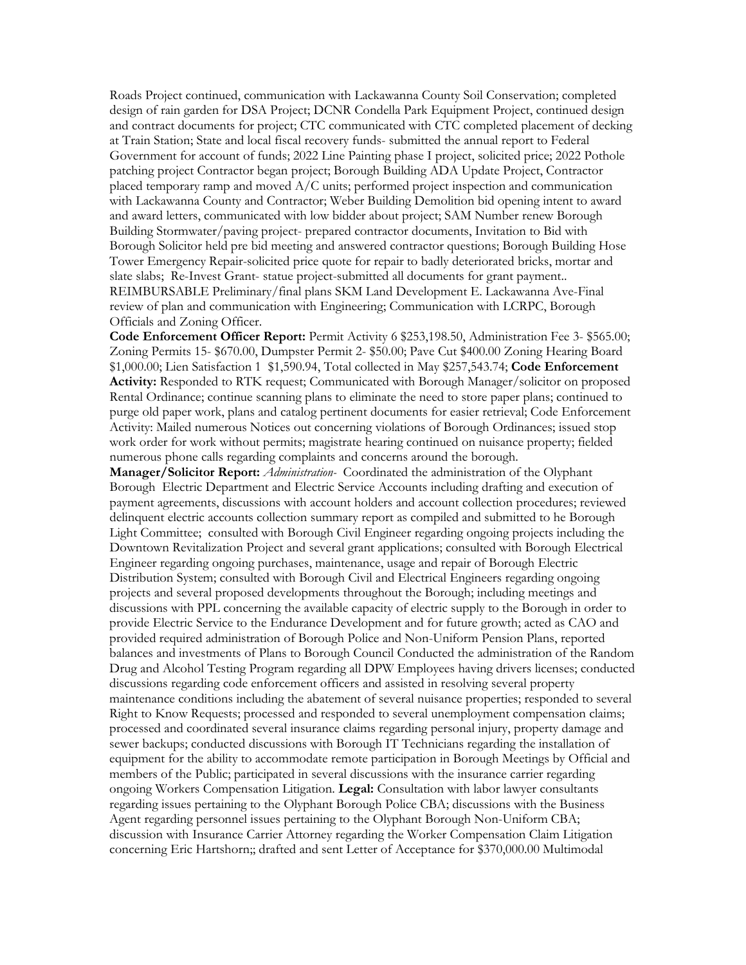Roads Project continued, communication with Lackawanna County Soil Conservation; completed design of rain garden for DSA Project; DCNR Condella Park Equipment Project, continued design and contract documents for project; CTC communicated with CTC completed placement of decking at Train Station; State and local fiscal recovery funds- submitted the annual report to Federal Government for account of funds; 2022 Line Painting phase I project, solicited price; 2022 Pothole patching project Contractor began project; Borough Building ADA Update Project, Contractor placed temporary ramp and moved A/C units; performed project inspection and communication with Lackawanna County and Contractor; Weber Building Demolition bid opening intent to award and award letters, communicated with low bidder about project; SAM Number renew Borough Building Stormwater/paving project- prepared contractor documents, Invitation to Bid with Borough Solicitor held pre bid meeting and answered contractor questions; Borough Building Hose Tower Emergency Repair-solicited price quote for repair to badly deteriorated bricks, mortar and slate slabs; Re-Invest Grant- statue project-submitted all documents for grant payment.. REIMBURSABLE Preliminary/final plans SKM Land Development E. Lackawanna Ave-Final review of plan and communication with Engineering; Communication with LCRPC, Borough Officials and Zoning Officer.

**Code Enforcement Officer Report:** Permit Activity 6 \$253,198.50, Administration Fee 3- \$565.00; Zoning Permits 15- \$670.00, Dumpster Permit 2- \$50.00; Pave Cut \$400.00 Zoning Hearing Board \$1,000.00; Lien Satisfaction 1 \$1,590.94, Total collected in May \$257,543.74; **Code Enforcement Activity:** Responded to RTK request; Communicated with Borough Manager/solicitor on proposed Rental Ordinance; continue scanning plans to eliminate the need to store paper plans; continued to purge old paper work, plans and catalog pertinent documents for easier retrieval; Code Enforcement Activity: Mailed numerous Notices out concerning violations of Borough Ordinances; issued stop work order for work without permits; magistrate hearing continued on nuisance property; fielded numerous phone calls regarding complaints and concerns around the borough.

**Manager/Solicitor Report:** *Administration-* Coordinated the administration of the Olyphant Borough Electric Department and Electric Service Accounts including drafting and execution of payment agreements, discussions with account holders and account collection procedures; reviewed delinquent electric accounts collection summary report as compiled and submitted to he Borough Light Committee; consulted with Borough Civil Engineer regarding ongoing projects including the Downtown Revitalization Project and several grant applications; consulted with Borough Electrical Engineer regarding ongoing purchases, maintenance, usage and repair of Borough Electric Distribution System; consulted with Borough Civil and Electrical Engineers regarding ongoing projects and several proposed developments throughout the Borough; including meetings and discussions with PPL concerning the available capacity of electric supply to the Borough in order to provide Electric Service to the Endurance Development and for future growth; acted as CAO and provided required administration of Borough Police and Non-Uniform Pension Plans, reported balances and investments of Plans to Borough Council Conducted the administration of the Random Drug and Alcohol Testing Program regarding all DPW Employees having drivers licenses; conducted discussions regarding code enforcement officers and assisted in resolving several property maintenance conditions including the abatement of several nuisance properties; responded to several Right to Know Requests; processed and responded to several unemployment compensation claims; processed and coordinated several insurance claims regarding personal injury, property damage and sewer backups; conducted discussions with Borough IT Technicians regarding the installation of equipment for the ability to accommodate remote participation in Borough Meetings by Official and members of the Public; participated in several discussions with the insurance carrier regarding ongoing Workers Compensation Litigation. **Legal:** Consultation with labor lawyer consultants regarding issues pertaining to the Olyphant Borough Police CBA; discussions with the Business Agent regarding personnel issues pertaining to the Olyphant Borough Non-Uniform CBA; discussion with Insurance Carrier Attorney regarding the Worker Compensation Claim Litigation concerning Eric Hartshorn;; drafted and sent Letter of Acceptance for \$370,000.00 Multimodal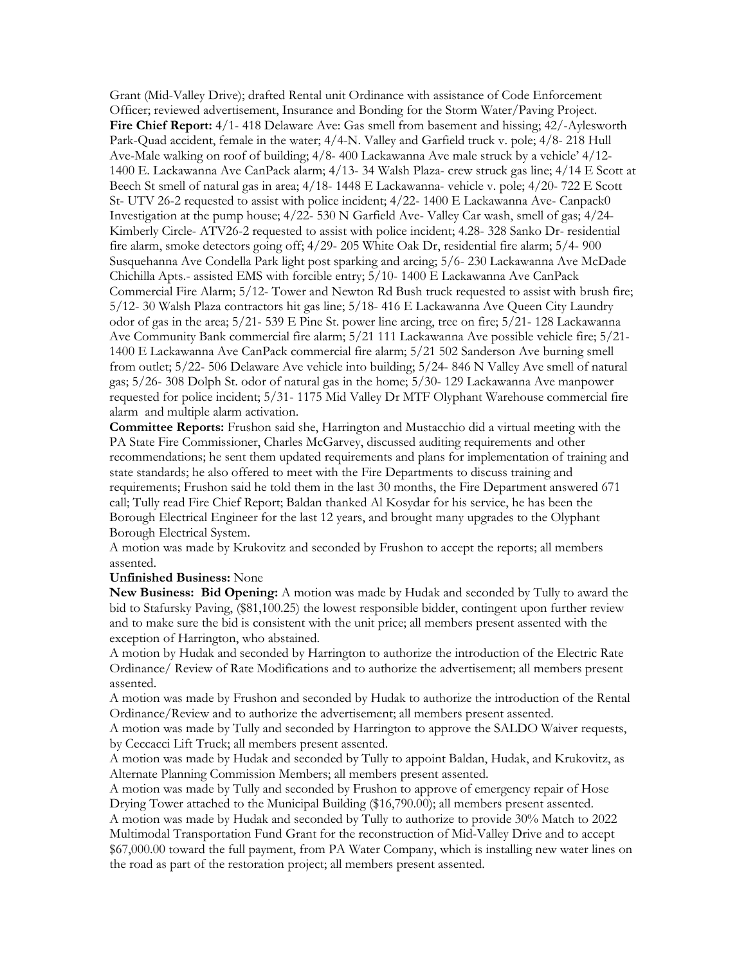Grant (Mid-Valley Drive); drafted Rental unit Ordinance with assistance of Code Enforcement Officer; reviewed advertisement, Insurance and Bonding for the Storm Water/Paving Project. **Fire Chief Report:** 4/1- 418 Delaware Ave: Gas smell from basement and hissing; 42/-Aylesworth Park-Quad accident, female in the water; 4/4-N. Valley and Garfield truck v. pole; 4/8- 218 Hull Ave-Male walking on roof of building; 4/8- 400 Lackawanna Ave male struck by a vehicle' 4/12- 1400 E. Lackawanna Ave CanPack alarm; 4/13- 34 Walsh Plaza- crew struck gas line; 4/14 E Scott at Beech St smell of natural gas in area; 4/18- 1448 E Lackawanna- vehicle v. pole; 4/20- 722 E Scott St- UTV 26-2 requested to assist with police incident; 4/22- 1400 E Lackawanna Ave- Canpack0 Investigation at the pump house; 4/22- 530 N Garfield Ave- Valley Car wash, smell of gas; 4/24- Kimberly Circle- ATV26-2 requested to assist with police incident; 4.28- 328 Sanko Dr- residential fire alarm, smoke detectors going off; 4/29- 205 White Oak Dr, residential fire alarm; 5/4- 900 Susquehanna Ave Condella Park light post sparking and arcing; 5/6- 230 Lackawanna Ave McDade Chichilla Apts.- assisted EMS with forcible entry; 5/10- 1400 E Lackawanna Ave CanPack Commercial Fire Alarm; 5/12- Tower and Newton Rd Bush truck requested to assist with brush fire; 5/12- 30 Walsh Plaza contractors hit gas line; 5/18- 416 E Lackawanna Ave Queen City Laundry odor of gas in the area; 5/21- 539 E Pine St. power line arcing, tree on fire; 5/21- 128 Lackawanna Ave Community Bank commercial fire alarm; 5/21 111 Lackawanna Ave possible vehicle fire; 5/21- 1400 E Lackawanna Ave CanPack commercial fire alarm; 5/21 502 Sanderson Ave burning smell from outlet; 5/22- 506 Delaware Ave vehicle into building; 5/24- 846 N Valley Ave smell of natural gas; 5/26- 308 Dolph St. odor of natural gas in the home; 5/30- 129 Lackawanna Ave manpower requested for police incident; 5/31- 1175 Mid Valley Dr MTF Olyphant Warehouse commercial fire alarm and multiple alarm activation.

**Committee Reports:** Frushon said she, Harrington and Mustacchio did a virtual meeting with the PA State Fire Commissioner, Charles McGarvey, discussed auditing requirements and other recommendations; he sent them updated requirements and plans for implementation of training and state standards; he also offered to meet with the Fire Departments to discuss training and requirements; Frushon said he told them in the last 30 months, the Fire Department answered 671 call; Tully read Fire Chief Report; Baldan thanked Al Kosydar for his service, he has been the Borough Electrical Engineer for the last 12 years, and brought many upgrades to the Olyphant Borough Electrical System.

A motion was made by Krukovitz and seconded by Frushon to accept the reports; all members assented.

## **Unfinished Business:** None

**New Business: Bid Opening:** A motion was made by Hudak and seconded by Tully to award the bid to Stafursky Paving, (\$81,100.25) the lowest responsible bidder, contingent upon further review and to make sure the bid is consistent with the unit price; all members present assented with the exception of Harrington, who abstained.

A motion by Hudak and seconded by Harrington to authorize the introduction of the Electric Rate Ordinance/ Review of Rate Modifications and to authorize the advertisement; all members present assented.

A motion was made by Frushon and seconded by Hudak to authorize the introduction of the Rental Ordinance/Review and to authorize the advertisement; all members present assented.

A motion was made by Tully and seconded by Harrington to approve the SALDO Waiver requests, by Ceccacci Lift Truck; all members present assented.

A motion was made by Hudak and seconded by Tully to appoint Baldan, Hudak, and Krukovitz, as Alternate Planning Commission Members; all members present assented.

A motion was made by Tully and seconded by Frushon to approve of emergency repair of Hose Drying Tower attached to the Municipal Building (\$16,790.00); all members present assented.

A motion was made by Hudak and seconded by Tully to authorize to provide 30% Match to 2022 Multimodal Transportation Fund Grant for the reconstruction of Mid-Valley Drive and to accept \$67,000.00 toward the full payment, from PA Water Company, which is installing new water lines on the road as part of the restoration project; all members present assented.